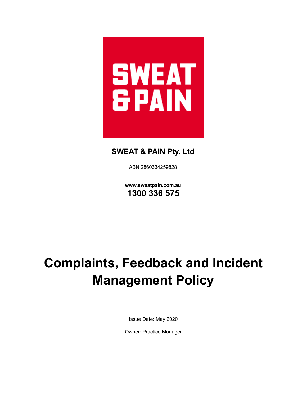

# **SWEAT & PAIN Pty. Ltd**

ABN 2860334259828

**www.sweatpain.com.au 1300 336 575**

# **Complaints, Feedback and Incident Management Policy**

Issue Date: May 2020

Owner: Practice Manager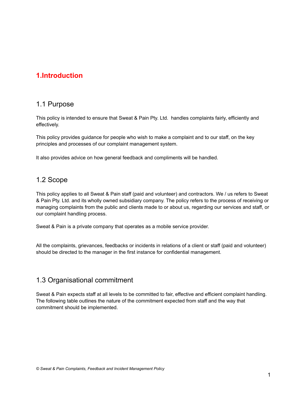# **1.Introduction**

# 1.1 Purpose

This policy is intended to ensure that Sweat & Pain Pty. Ltd. handles complaints fairly, efficiently and effectively.

This policy provides guidance for people who wish to make a complaint and to our staff, on the key principles and processes of our complaint management system.

It also provides advice on how general feedback and compliments will be handled.

# 1.2 Scope

This policy applies to all Sweat & Pain staff (paid and volunteer) and contractors. We / us refers to Sweat & Pain Pty. Ltd. and its wholly owned subsidiary company. The policy refers to the process of receiving or managing complaints from the public and clients made to or about us, regarding our services and staff, or our complaint handling process.

Sweat & Pain is a private company that operates as a mobile service provider.

All the complaints, grievances, feedbacks or incidents in relations of a client or staff (paid and volunteer) should be directed to the manager in the first instance for confidential management.

# 1.3 Organisational commitment

Sweat & Pain expects staff at all levels to be committed to fair, effective and efficient complaint handling. The following table outlines the nature of the commitment expected from staff and the way that commitment should be implemented.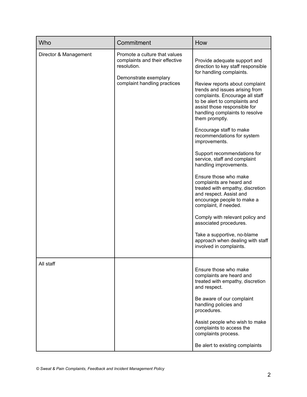| Who                   | Commitment                                                                                                                              | How                                                                                                                                                                                                                                                                                                                                                                                                                                                                                                                                                                                                                                                                                                                                                                                                                                 |
|-----------------------|-----------------------------------------------------------------------------------------------------------------------------------------|-------------------------------------------------------------------------------------------------------------------------------------------------------------------------------------------------------------------------------------------------------------------------------------------------------------------------------------------------------------------------------------------------------------------------------------------------------------------------------------------------------------------------------------------------------------------------------------------------------------------------------------------------------------------------------------------------------------------------------------------------------------------------------------------------------------------------------------|
| Director & Management | Promote a culture that values<br>complaints and their effective<br>resolution.<br>Demonstrate exemplary<br>complaint handling practices | Provide adequate support and<br>direction to key staff responsible<br>for handling complaints.<br>Review reports about complaint<br>trends and issues arising from<br>complaints. Encourage all staff<br>to be alert to complaints and<br>assist those responsible for<br>handling complaints to resolve<br>them promptly.<br>Encourage staff to make<br>recommendations for system<br>improvements.<br>Support recommendations for<br>service, staff and complaint<br>handling improvements.<br>Ensure those who make<br>complaints are heard and<br>treated with empathy, discretion<br>and respect. Assist and<br>encourage people to make a<br>complaint, if needed.<br>Comply with relevant policy and<br>associated procedures.<br>Take a supportive, no-blame<br>approach when dealing with staff<br>involved in complaints. |
| All staff             |                                                                                                                                         | Ensure those who make<br>complaints are heard and<br>treated with empathy, discretion<br>and respect.<br>Be aware of our complaint<br>handling policies and<br>procedures.<br>Assist people who wish to make<br>complaints to access the<br>complaints process.<br>Be alert to existing complaints                                                                                                                                                                                                                                                                                                                                                                                                                                                                                                                                  |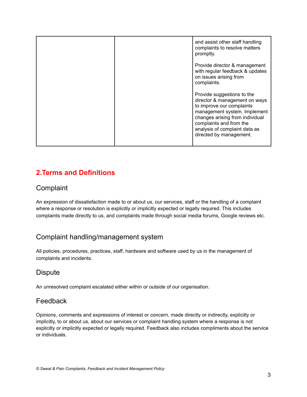|  | and assist other staff handling<br>complaints to resolve matters<br>promptly.                                                                                                                                                                      |
|--|----------------------------------------------------------------------------------------------------------------------------------------------------------------------------------------------------------------------------------------------------|
|  | Provide director & management<br>with regular feedback & updates<br>on issues arising from<br>complaints.                                                                                                                                          |
|  | Provide suggestions to the<br>director & management on ways<br>to improve our complaints<br>management system. Implement<br>changes arising from individual<br>complaints and from the<br>analysis of complaint data as<br>directed by management. |

# **2.Terms and Definitions**

# **Complaint**

An expression of dissatisfaction made to or about us, our services, staff or the handling of a complaint where a response or resolution is explicitly or implicitly expected or legally required. This includes complaints made directly to us, and complaints made through social media forums, Google reviews etc.

# Complaint handling/management system

All policies, procedures, practices, staff, hardware and software used by us in the management of complaints and incidents.

# **Dispute**

An unresolved complaint escalated either within or outside of our organisation.

# Feedback

Opinions, comments and expressions of interest or concern, made directly or indirectly, explicitly or implicitly, to or about us, about our services or complaint handling system where a response is not explicitly or implicitly expected or legally required. Feedback also includes compliments about the service or individuals.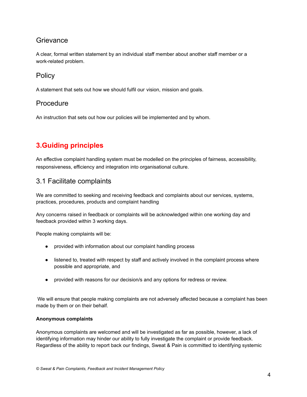# **Grievance**

A clear, formal written statement by an individual staff member about another staff member or a work-related problem.

### **Policy**

A statement that sets out how we should fulfil our vision, mission and goals.

# Procedure

An instruction that sets out how our policies will be implemented and by whom.

# **3.Guiding principles**

An effective complaint handling system must be modelled on the principles of fairness, accessibility, responsiveness, efficiency and integration into organisational culture.

### 3.1 Facilitate complaints

We are committed to seeking and receiving feedback and complaints about our services, systems, practices, procedures, products and complaint handling

Any concerns raised in feedback or complaints will be acknowledged within one working day and feedback provided within 3 working days.

People making complaints will be:

- provided with information about our complaint handling process
- listened to, treated with respect by staff and actively involved in the complaint process where possible and appropriate, and
- provided with reasons for our decision/s and any options for redress or review.

We will ensure that people making complaints are not adversely affected because a complaint has been made by them or on their behalf.

#### **Anonymous complaints**

Anonymous complaints are welcomed and will be investigated as far as possible, however, a lack of identifying information may hinder our ability to fully investigate the complaint or provide feedback. Regardless of the ability to report back our findings, Sweat & Pain is committed to identifying systemic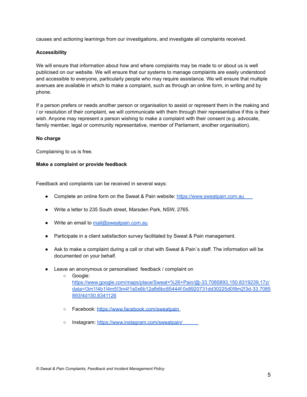causes and actioning learnings from our investigations, and investigate all complaints received.

#### **Accessibility**

We will ensure that information about how and where complaints may be made to or about us is well publicised on our website. We will ensure that our systems to manage complaints are easily understood and accessible to everyone, particularly people who may require assistance. We will ensure that multiple avenues are available in which to make a complaint, such as through an online form, in writing and by phone.

If a person prefers or needs another person or organisation to assist or represent them in the making and / or resolution of their complaint, we will communicate with them through their representative if this is their wish. Anyone may represent a person wishing to make a complaint with their consent (e.g. advocate, family member, legal or community representative, member of Parliament, another organisation).

#### **No charge**

Complaining to us is free.

#### **Make a complaint or provide feedback**

Feedback and complaints can be received in several ways:

- Complete an online form on the Sweat & Pain website: <https://www.sweatpain.com.au>
- Write a letter to 235 South street, Marsden Park, NSW, 2765.
- Write an email to [mail@sweatpain.com.au](mailto:mail@sweatpain.com.au)
- Participate in a client satisfaction survey facilitated by Sweat & Pain management.
- Ask to make a complaint during a call or chat with Sweat & Pain`s staff. The information will be documented on your behalf.
- Leave an anonymous or personalised feedback / complaint on
	- Google: [https://www.google.com/maps/place/Sweat+%26+Pain/@-33.7085893,150.8319239,17z/](https://www.google.com/maps/place/Sweat+%26+Pain/@-33.7085893,150.8319239,17z/data=!3m1!4b1!4m5!3m4!1s0x6b12afb6bc85444f:0x8920731dd30225d0!8m2!3d-33.7085893!4d150.8341126) [data=!3m1!4b1!4m5!3m4!1s0x6b12afb6bc85444f:0x8920731dd30225d0!8m2!3d-33.7085](https://www.google.com/maps/place/Sweat+%26+Pain/@-33.7085893,150.8319239,17z/data=!3m1!4b1!4m5!3m4!1s0x6b12afb6bc85444f:0x8920731dd30225d0!8m2!3d-33.7085893!4d150.8341126) [893!4d150.8341126](https://www.google.com/maps/place/Sweat+%26+Pain/@-33.7085893,150.8319239,17z/data=!3m1!4b1!4m5!3m4!1s0x6b12afb6bc85444f:0x8920731dd30225d0!8m2!3d-33.7085893!4d150.8341126)
	- Facebook: <https://www.facebook.com/sweatpain>
	- o Instagram: <https://www.instagram.com/sweatpain/>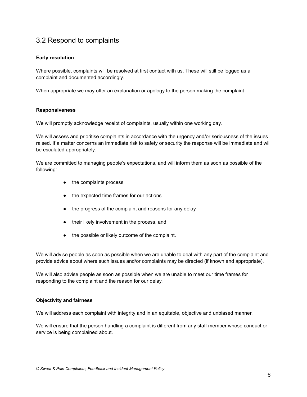# 3.2 Respond to complaints

#### **Early resolution**

Where possible, complaints will be resolved at first contact with us. These will still be logged as a complaint and documented accordingly.

When appropriate we may offer an explanation or apology to the person making the complaint.

#### **Responsiveness**

We will promptly acknowledge receipt of complaints, usually within one working day.

We will assess and prioritise complaints in accordance with the urgency and/or seriousness of the issues raised. If a matter concerns an immediate risk to safety or security the response will be immediate and will be escalated appropriately.

We are committed to managing people's expectations, and will inform them as soon as possible of the following:

- the complaints process
- the expected time frames for our actions
- the progress of the complaint and reasons for any delay
- their likely involvement in the process, and
- the possible or likely outcome of the complaint.

We will advise people as soon as possible when we are unable to deal with any part of the complaint and provide advice about where such issues and/or complaints may be directed (if known and appropriate).

We will also advise people as soon as possible when we are unable to meet our time frames for responding to the complaint and the reason for our delay.

#### **Objectivity and fairness**

We will address each complaint with integrity and in an equitable, objective and unbiased manner.

We will ensure that the person handling a complaint is different from any staff member whose conduct or service is being complained about.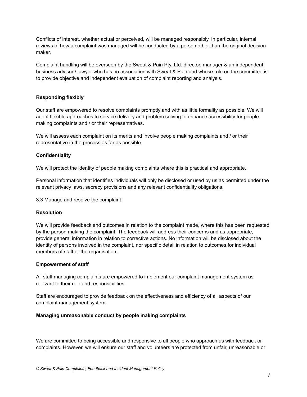Conflicts of interest, whether actual or perceived, will be managed responsibly. In particular, internal reviews of how a complaint was managed will be conducted by a person other than the original decision maker.

Complaint handling will be overseen by the Sweat & Pain Pty. Ltd. director, manager & an independent business advisor / lawyer who has no association with Sweat & Pain and whose role on the committee is to provide objective and independent evaluation of complaint reporting and analysis.

#### **Responding flexibly**

Our staff are empowered to resolve complaints promptly and with as little formality as possible. We will adopt flexible approaches to service delivery and problem solving to enhance accessibility for people making complaints and / or their representatives.

We will assess each complaint on its merits and involve people making complaints and / or their representative in the process as far as possible.

#### **Confidentiality**

We will protect the identity of people making complaints where this is practical and appropriate.

Personal information that identifies individuals will only be disclosed or used by us as permitted under the relevant privacy laws, secrecy provisions and any relevant confidentiality obligations.

3.3 Manage and resolve the complaint

#### **Resolution**

We will provide feedback and outcomes in relation to the complaint made, where this has been requested by the person making the complaint. The feedback will address their concerns and as appropriate, provide general information in relation to corrective actions. No information will be disclosed about the identity of persons involved in the complaint, nor specific detail in relation to outcomes for individual members of staff or the organisation.

#### **Empowerment of staff**

All staff managing complaints are empowered to implement our complaint management system as relevant to their role and responsibilities.

Staff are encouraged to provide feedback on the effectiveness and efficiency of all aspects of our complaint management system.

#### **Managing unreasonable conduct by people making complaints**

We are committed to being accessible and responsive to all people who approach us with feedback or complaints. However, we will ensure our staff and volunteers are protected from unfair, unreasonable or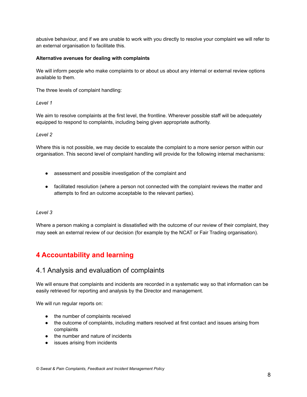abusive behaviour, and if we are unable to work with you directly to resolve your complaint we will refer to an external organisation to facilitate this.

#### **Alternative avenues for dealing with complaints**

We will inform people who make complaints to or about us about any internal or external review options available to them.

The three levels of complaint handling:

*Level 1*

We aim to resolve complaints at the first level, the frontline. Wherever possible staff will be adequately equipped to respond to complaints, including being given appropriate authority.

#### *Level 2*

Where this is not possible, we may decide to escalate the complaint to a more senior person within our organisation. This second level of complaint handling will provide for the following internal mechanisms:

- assessment and possible investigation of the complaint and
- facilitated resolution (where a person not connected with the complaint reviews the matter and attempts to find an outcome acceptable to the relevant parties).

#### *Level 3*

Where a person making a complaint is dissatisfied with the outcome of our review of their complaint, they may seek an external review of our decision (for example by the NCAT or Fair Trading organisation).

# **4 Accountability and learning**

### 4.1 Analysis and evaluation of complaints

We will ensure that complaints and incidents are recorded in a systematic way so that information can be easily retrieved for reporting and analysis by the Director and management.

We will run regular reports on:

- the number of complaints received
- the outcome of complaints, including matters resolved at first contact and issues arising from complaints
- the number and nature of incidents
- issues arising from incidents